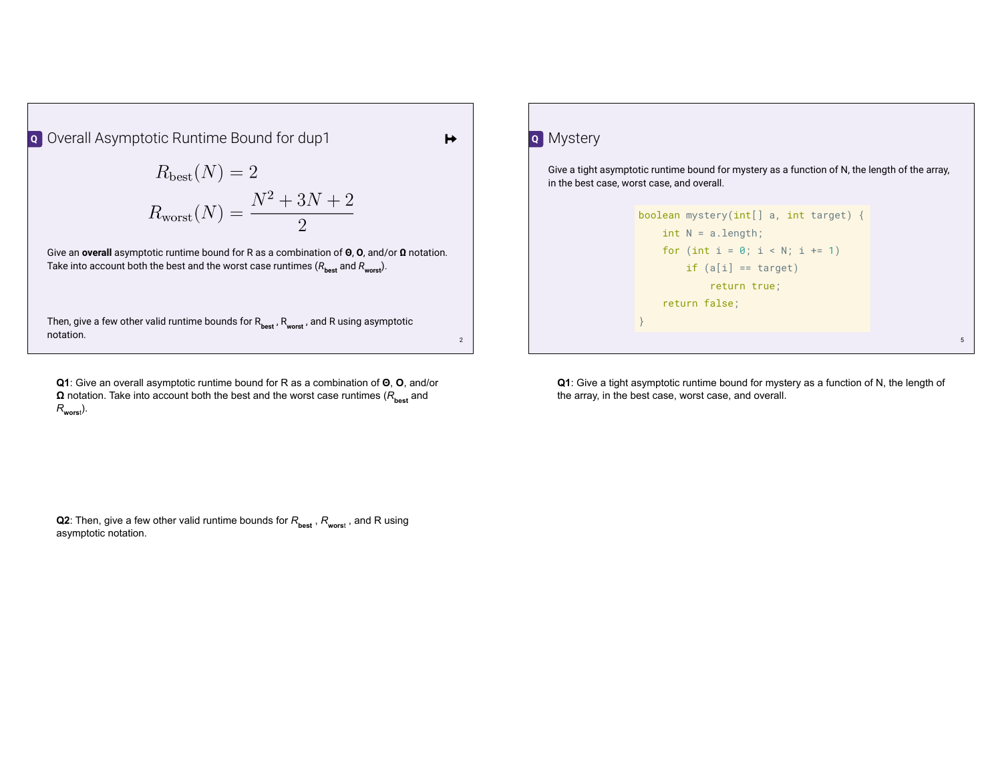Overall Asymptotic Runtime Bound for dup1 **Q**

$$
R_{\text{best}}(N) = 2
$$

$$
R_{\text{worst}}(N) = \frac{N^2 + 3N + 2}{2}
$$

 $\overline{2}$ 

Give an **overall** asymptotic runtime bound for R as a combination of **Θ**, **O**, and/or **Ω** notation. Take into account both the best and the worst case runtimes  $(R_{\text{best}}$  and  $R_{\text{worst}})$ .

Then, give a few other valid runtime bounds for R<sub>best</sub>, R<sub>worst</sub>, and R using asymptotic notation.  $\blacksquare$ notation.  $\blacksquare$ 

**Q1**: Give an overall asymptotic runtime bound for R as a combination of **Θ**, **O**, and/or **Ω** notation. Take into account both the best and the worst case runtimes ( $R$ <sub>best</sub> and *R***wors**<sup>t</sup> ).

Mystery **Q**

 $\rightarrow$ 

Give a tight asymptotic runtime bound for mystery as a function of N, the length of the array, in the best case, worst case, and overall.

```
5
boolean mystery(int[] a, int target) {
    int N = a.length;
    for (int i = 0; i < N; i += 1)
        if (a[i] == target) return true;
     return false;
}
```
**Q1**: Give a tight asymptotic runtime bound for mystery as a function of N, the length of the array, in the best case, worst case, and overall.

**Q2**: Then, give a few other valid runtime bounds for  $R_{\text{best}}$  ,  $R_{\text{worst}}$  , and R using asymptotic notation.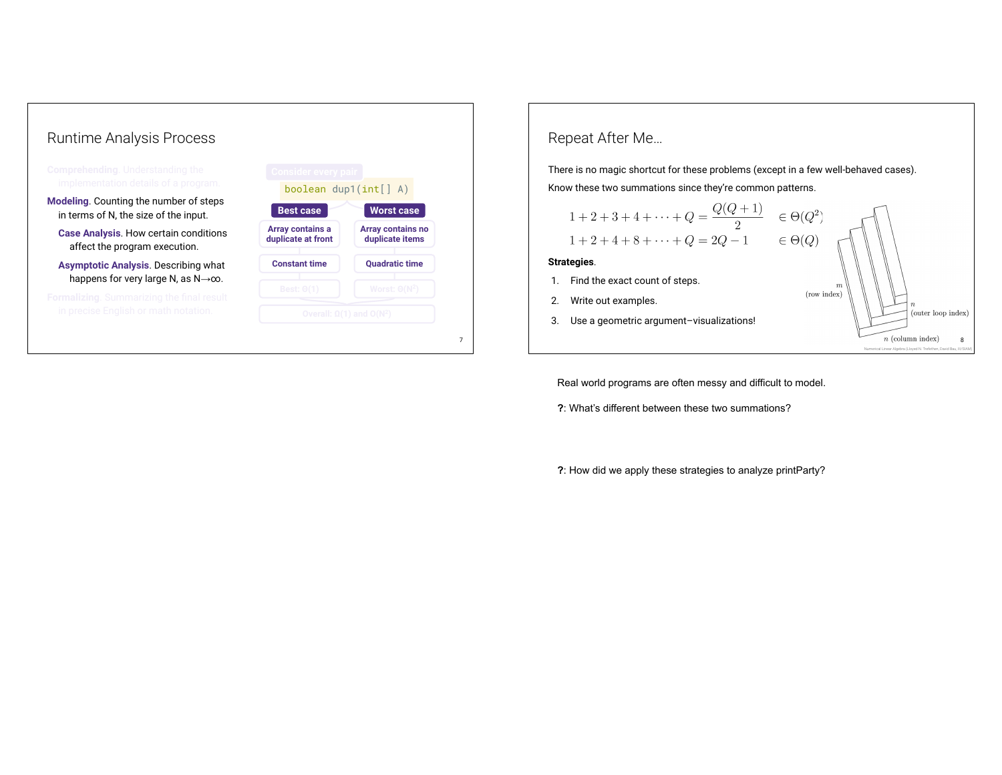

## Repeat After Me… There is no magic shortcut for these problems (except in a few well-behaved cases). Know these two summations since they're common patterns.  $1+2+3+4+\cdots + Q = \frac{Q(Q+1)}{2}$   $\in \Theta(Q^2)$  $1+2+4+8+\cdots+Q=2Q-1$  $\in \Theta(Q)$ **Strategies**. 1. Find the exact count of steps. (row index) 2. Write out examples. (outer loop index) 3. Use a geometric argument–visualizations!  $n$  (column index) 8 Numerical Linear Algebra (Lloyed N. Trefethen, David Bau, III/SIAM)

Real world programs are often messy and difficult to model.

**?**: What's different between these two summations?

**?**: How did we apply these strategies to analyze printParty?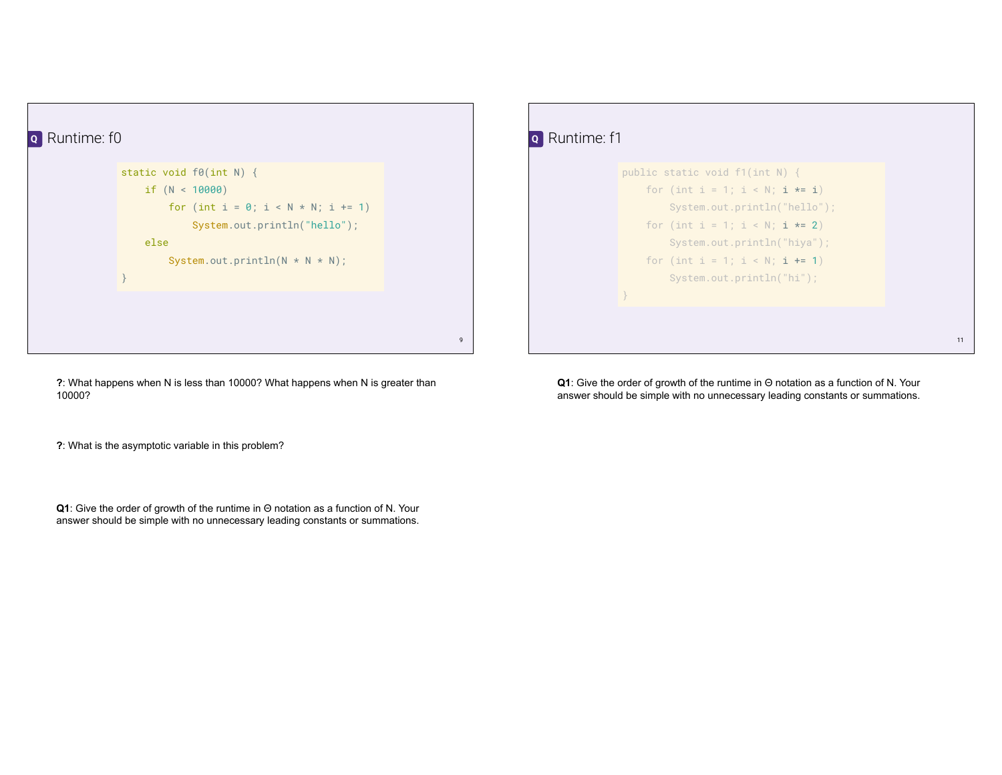

**?**: What happens when N is less than 10000? What happens when N is greater than 10000?

**?**: What is the asymptotic variable in this problem?

**Q1**: Give the order of growth of the runtime in Θ notation as a function of N. Your answer should be simple with no unnecessary leading constants or summations.

| Runtime: f1<br>$\mathbf{o}$ |                                                                                                                                                                                                                                         |    |
|-----------------------------|-----------------------------------------------------------------------------------------------------------------------------------------------------------------------------------------------------------------------------------------|----|
|                             | public static void $f1(int N)$ {<br>for (int i = 1; i < N; i *= i)<br>System.out.println("hello");<br>for $(int i = 1; i < N; i \ne 2)$<br>System.out.println("hiya");<br>for $(int i = 1; i < N; i += 1)$<br>System.out.println("hi"); |    |
|                             |                                                                                                                                                                                                                                         |    |
|                             |                                                                                                                                                                                                                                         | 11 |

**Q1**: Give the order of growth of the runtime in Θ notation as a function of N. Your answer should be simple with no unnecessary leading constants or summations.